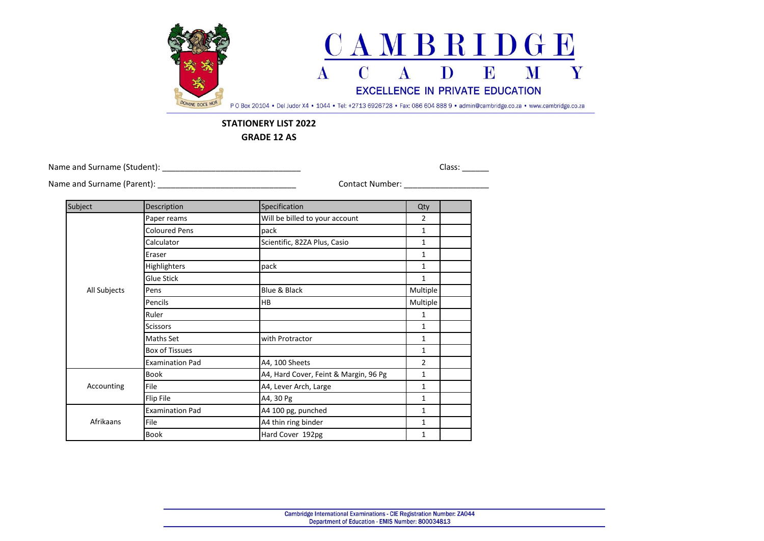

## **STATIONERY LIST 2022**

**GRADE 12 AS**

Name and Surname (Student): \_\_\_\_\_\_\_\_\_\_\_\_\_\_\_\_\_\_\_\_\_\_\_\_\_\_\_\_\_\_\_ Class: \_\_\_\_\_\_

Name and Surname (Parent): \_\_\_\_\_\_\_\_\_\_\_\_\_\_\_\_\_\_\_\_\_\_\_\_\_\_\_\_\_\_\_ Contact Number: \_\_\_\_\_\_\_\_\_\_\_\_\_\_\_\_\_\_\_

| Subject      | Description            | Specification                         | Qty            |  |
|--------------|------------------------|---------------------------------------|----------------|--|
| All Subjects | Paper reams            | Will be billed to your account        | 2              |  |
|              | <b>Coloured Pens</b>   | pack                                  | $\mathbf{1}$   |  |
|              | Calculator             | Scientific, 82ZA Plus, Casio          | $\mathbf{1}$   |  |
|              | Eraser                 |                                       | $\mathbf{1}$   |  |
|              | Highlighters           | pack                                  | $\mathbf{1}$   |  |
|              | <b>Glue Stick</b>      |                                       | $\mathbf{1}$   |  |
|              | Pens                   | Blue & Black                          | Multiple       |  |
|              | Pencils                | <b>HB</b>                             | Multiple       |  |
|              | Ruler                  |                                       | $\mathbf{1}$   |  |
|              | <b>Scissors</b>        |                                       | $\mathbf{1}$   |  |
|              | <b>Maths Set</b>       | with Protractor                       | $\mathbf{1}$   |  |
|              | <b>Box of Tissues</b>  |                                       | $\mathbf{1}$   |  |
|              | <b>Examination Pad</b> | A4, 100 Sheets                        | $\overline{2}$ |  |
| Accounting   | <b>Book</b>            | A4, Hard Cover, Feint & Margin, 96 Pg | $\mathbf{1}$   |  |
|              | File                   | A4, Lever Arch, Large                 | $\mathbf{1}$   |  |
|              | Flip File              | A4, 30 Pg                             | $\mathbf{1}$   |  |
| Afrikaans    | <b>Examination Pad</b> | A4 100 pg, punched                    | $\mathbf{1}$   |  |
|              | File                   | A4 thin ring binder                   | $\mathbf{1}$   |  |
|              | <b>Book</b>            | Hard Cover 192pg                      | $\mathbf{1}$   |  |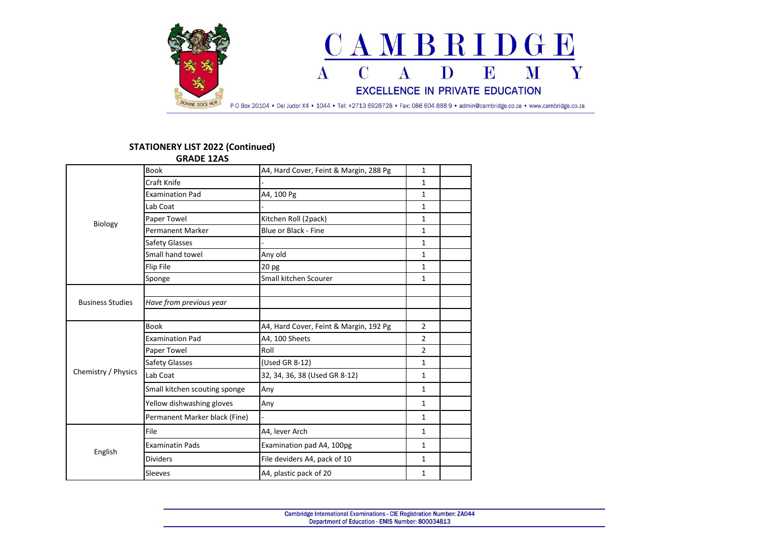

## **STATIONERY LIST 2022 (Continued)**

|                         | <b>GRADE 12AS</b>             |                                        |                |  |
|-------------------------|-------------------------------|----------------------------------------|----------------|--|
| <b>Biology</b>          | <b>Book</b>                   | A4, Hard Cover, Feint & Margin, 288 Pg | $\mathbf{1}$   |  |
|                         | Craft Knife                   |                                        | $\mathbf{1}$   |  |
|                         | <b>Examination Pad</b>        | A4, 100 Pg                             | $\mathbf{1}$   |  |
|                         | Lab Coat                      |                                        | $\mathbf{1}$   |  |
|                         | Paper Towel                   | Kitchen Roll (2pack)                   | $\mathbf{1}$   |  |
|                         | <b>Permanent Marker</b>       | <b>Blue or Black - Fine</b>            | $\mathbf{1}$   |  |
|                         | Safety Glasses                |                                        | $\mathbf{1}$   |  |
|                         | Small hand towel              | Any old                                | $\mathbf{1}$   |  |
|                         | Flip File                     | 20 pg                                  | 1              |  |
|                         | Sponge                        | Small kitchen Scourer                  | $\mathbf{1}$   |  |
|                         |                               |                                        |                |  |
| <b>Business Studies</b> | Have from previous year       |                                        |                |  |
|                         |                               |                                        |                |  |
|                         | <b>Book</b>                   | A4, Hard Cover, Feint & Margin, 192 Pg | $\overline{2}$ |  |
|                         | <b>Examination Pad</b>        | A4, 100 Sheets                         | $\overline{2}$ |  |
|                         | Paper Towel                   | Roll                                   | $\overline{2}$ |  |
|                         | <b>Safety Glasses</b>         | (Used GR 8-12)                         | $\mathbf{1}$   |  |
| Chemistry / Physics     | Lab Coat                      | 32, 34, 36, 38 (Used GR 8-12)          | 1              |  |
|                         | Small kitchen scouting sponge | Any                                    | $\mathbf{1}$   |  |
|                         | Yellow dishwashing gloves     | Any                                    | $\mathbf{1}$   |  |
|                         | Permanent Marker black (Fine) |                                        | $\mathbf{1}$   |  |
|                         | File                          | A4, lever Arch                         | $\mathbf{1}$   |  |
| English                 | <b>Examinatin Pads</b>        | Examination pad A4, 100pg              | $\mathbf{1}$   |  |
|                         | <b>Dividers</b>               | File deviders A4, pack of 10           | $\mathbf{1}$   |  |
|                         | Sleeves                       | A4, plastic pack of 20                 | $\mathbf{1}$   |  |
|                         |                               |                                        |                |  |

Cambridge International Examinations - CIE Registration Number: ZA044 Department of Education - EMIS Number: 800034813